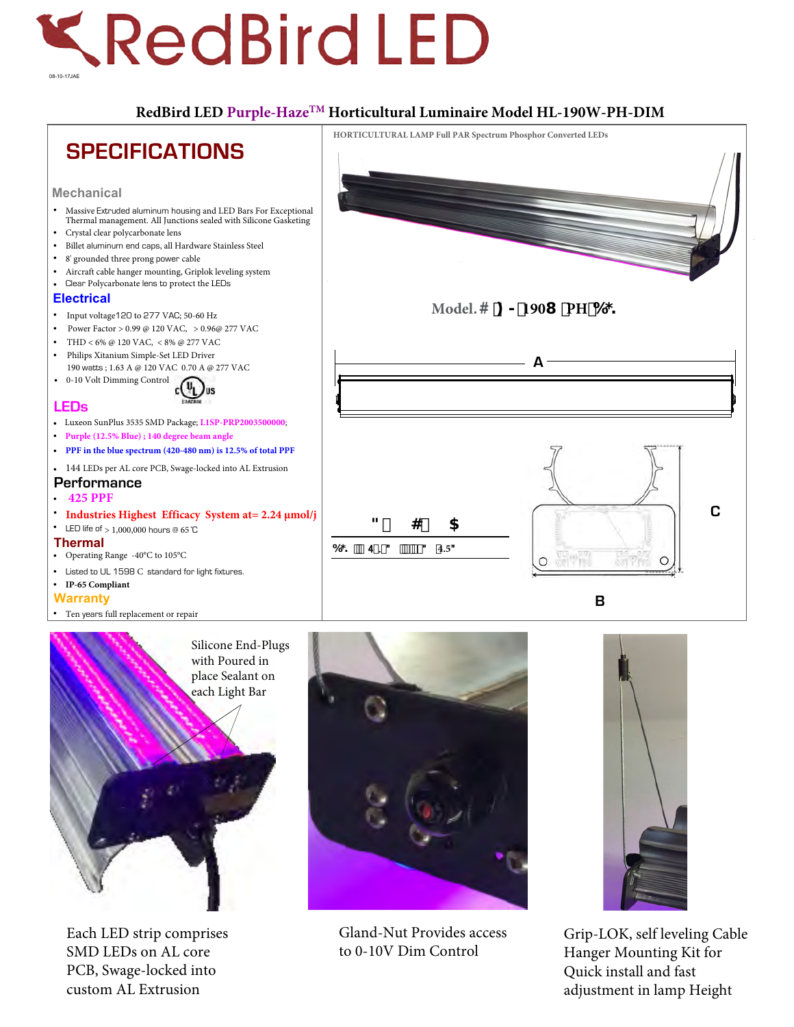## **KRedBird LED** 08-10-17JAE

## **RedBird LED Purple-HazeTM Horticultural Luminaire Model HL-190W-PH-DIM**





Gland-Nut Provides access to 0-10V Dim Control



Grip-LOK, self leveling Cable Hanger Mounting Kit for Quick install and fast adjustment in lamp Height

Silicone End-Plugs with Poured in place Sealant on each Light Bar

Each LED strip comprises SMD LEDs on AL core PCB, Swage-locked into custom AL Extrusion